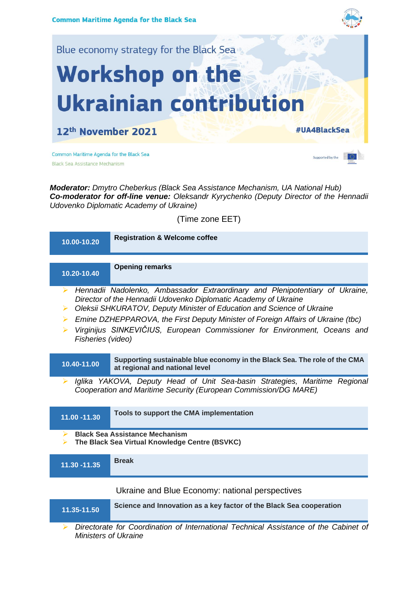Black Sea Assistance Mechanism

*Ministers of Ukraine*





*Moderator: Dmytro Cheberkus (Black Sea Assistance Mechanism, UA National Hub) Co-moderator for off-line venue: Oleksandr Kyrychenko (Deputy Director of the Hennadii Udovenko Diplomatic Academy of Ukraine)* 

(Time zone EET)

| 10.00-10.20                                                                                                                                        | <b>Registration &amp; Welcome coffee</b>                                                                                                                                                                                                                                                                                                                                                   |
|----------------------------------------------------------------------------------------------------------------------------------------------------|--------------------------------------------------------------------------------------------------------------------------------------------------------------------------------------------------------------------------------------------------------------------------------------------------------------------------------------------------------------------------------------------|
| 10.20-10.40                                                                                                                                        | <b>Opening remarks</b>                                                                                                                                                                                                                                                                                                                                                                     |
| ↘<br>➤<br>➤<br>Fisheries (video)                                                                                                                   | Hennadii Nadolenko, Ambassador Extraordinary and Plenipotentiary of Ukraine,<br>Director of the Hennadii Udovenko Diplomatic Academy of Ukraine<br>Oleksii SHKURATOV, Deputy Minister of Education and Science of Ukraine<br>Emine DZHEPPAROVA, the First Deputy Minister of Foreign Affairs of Ukraine (tbc)<br>Virginijus SINKEVIČIUS, European Commissioner for Environment, Oceans and |
| 10.40-11.00                                                                                                                                        | Supporting sustainable blue economy in the Black Sea. The role of the CMA<br>at regional and national level                                                                                                                                                                                                                                                                                |
| Iglika YAKOVA, Deputy Head of Unit Sea-basin Strategies, Maritime Regional<br>↘<br>Cooperation and Maritime Security (European Commission/DG MARE) |                                                                                                                                                                                                                                                                                                                                                                                            |
| 11.00 -11.30                                                                                                                                       | Tools to support the CMA implementation                                                                                                                                                                                                                                                                                                                                                    |
| <b>Black Sea Assistance Mechanism</b><br>➤<br>The Black Sea Virtual Knowledge Centre (BSVKC)<br>➤                                                  |                                                                                                                                                                                                                                                                                                                                                                                            |
| 11.30 - 11.35                                                                                                                                      | <b>Break</b>                                                                                                                                                                                                                                                                                                                                                                               |
| Ukraine and Blue Economy: national perspectives                                                                                                    |                                                                                                                                                                                                                                                                                                                                                                                            |
| 11.35-11.50                                                                                                                                        | Science and Innovation as a key factor of the Black Sea cooperation                                                                                                                                                                                                                                                                                                                        |
| Directorate for Coordination of International Technical Assistance of the Cabinet of                                                               |                                                                                                                                                                                                                                                                                                                                                                                            |